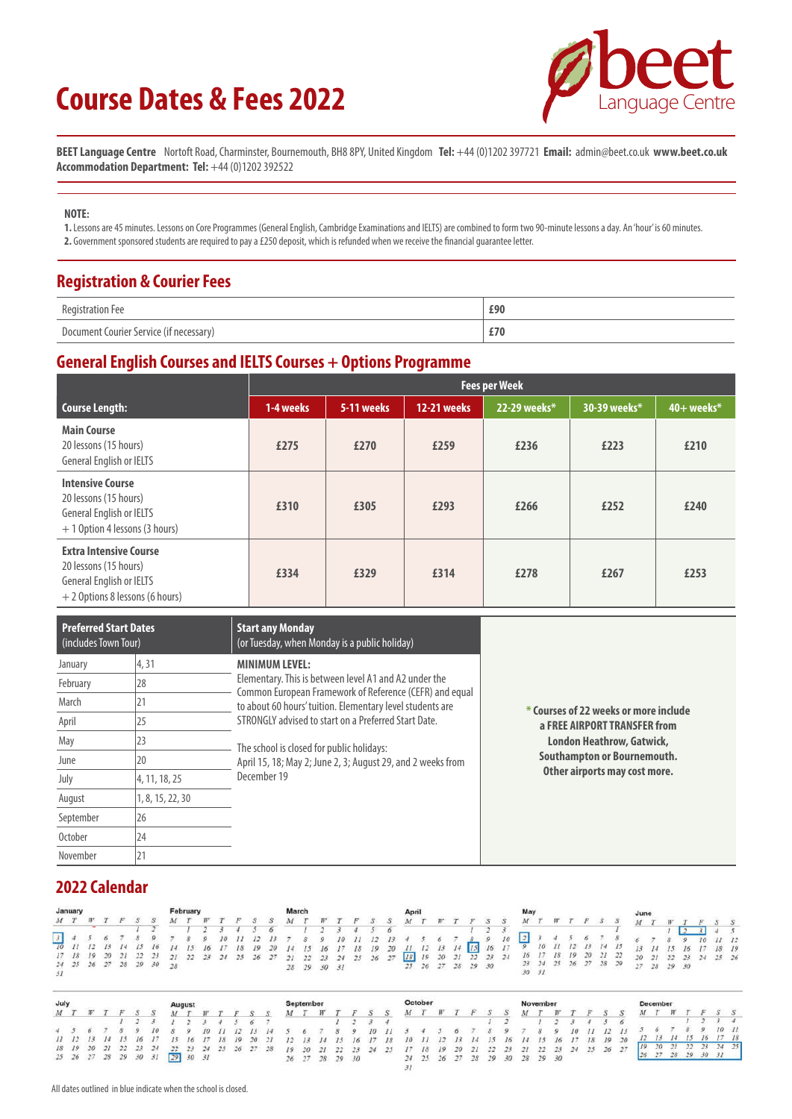# **Course Dates & Fees 2022**



**BEET Language Centre** Nortoft Road, Charminster, Bournemouth, BH8 8PY, United Kingdom **Tel:** +44 (0)1202 397721 **Email:** admin@beet.co.uk **www.beet.co.uk Accommodation Department: Tel:** +44 (0)1202 392522

#### **NOTE:**

**1.** Lessons are 45 minutes. Lessons on Core Programmes (General English, Cambridge Examinations and IELTS) are combined to form two 90-minute lessons a day. An 'hour' is 60 minutes. **2.** Government sponsored students are required to pay a £250 deposit, which is refunded when we receive the financial guarantee letter.

#### **Registration & Courier Fees**

| <b>Registration Fee</b>                 | £90 |
|-----------------------------------------|-----|
| Document Courier Service (if necessary) | £70 |

#### **General English Courses and IELTS Courses + Options Programme**

|                                                                                                                       | <b>Fees per Week</b> |            |                    |              |              |              |  |  |  |  |  |  |
|-----------------------------------------------------------------------------------------------------------------------|----------------------|------------|--------------------|--------------|--------------|--------------|--|--|--|--|--|--|
| Course Length:                                                                                                        | 1-4 weeks            | 5-11 weeks | <b>12-21 weeks</b> | 22-29 weeks* | 30-39 weeks* | $40+$ weeks* |  |  |  |  |  |  |
| <b>Main Course</b><br>20 lessons (15 hours)<br>General English or IELTS                                               | £275                 | £270       | £259               | £236         | £223         | £210         |  |  |  |  |  |  |
| <b>Intensive Course</b><br>20 lessons (15 hours)<br>General English or IELTS<br>+ 1 Option 4 lessons (3 hours)        | £310                 | £305       | £293               | £266         | £252         | £240         |  |  |  |  |  |  |
| <b>Extra Intensive Course</b><br>20 lessons (15 hours)<br>General English or IELTS<br>+ 2 Options 8 lessons (6 hours) | £334                 | £329       | £314               | £278         | £267         | £253         |  |  |  |  |  |  |

| <b>Preferred Start Dates</b><br>(includes Town Tour) |                  | <b>Start any Monday</b><br>(or Tuesday, when Monday is a public holiday)                                         |                                       |
|------------------------------------------------------|------------------|------------------------------------------------------------------------------------------------------------------|---------------------------------------|
| January                                              | 4,31             | <b>MINIMUM LEVEL:</b>                                                                                            |                                       |
| February                                             | 28               | Elementary. This is between level A1 and A2 under the<br>Common European Framework of Reference (CEFR) and equal |                                       |
| March                                                | 21               | to about 60 hours' tuition. Elementary level students are                                                        | * Courses of 22 weeks or more include |
| April                                                | 25               | STRONGLY advised to start on a Preferred Start Date.                                                             | a FREE AIRPORT TRANSFER from          |
| May                                                  | 23               | The school is closed for public holidays:                                                                        | <b>London Heathrow, Gatwick,</b>      |
| June                                                 | 20               | April 15, 18; May 2; June 2, 3; August 29, and 2 weeks from                                                      | Southampton or Bournemouth.           |
| July                                                 | 4, 11, 18, 25    | December 19                                                                                                      | Other airports may cost more.         |
| August                                               | 1, 8, 15, 22, 30 |                                                                                                                  |                                       |
| September                                            | 26               |                                                                                                                  |                                       |
| October                                              | 24               |                                                                                                                  |                                       |
| November                                             | 21               |                                                                                                                  |                                       |

#### **2022 Calendar**

| January |  |                         |  |                                                                                     | February |                                                 |  | March |  |             |  | April |  |                   |  |                                                                                                          |  |  |                       |                      |  |  |          |  |
|---------|--|-------------------------|--|-------------------------------------------------------------------------------------|----------|-------------------------------------------------|--|-------|--|-------------|--|-------|--|-------------------|--|----------------------------------------------------------------------------------------------------------|--|--|-----------------------|----------------------|--|--|----------|--|
|         |  | $M$ $T$ $W$ $T$ $F$ $S$ |  |                                                                                     |          |                                                 |  |       |  |             |  |       |  |                   |  |                                                                                                          |  |  |                       |                      |  |  |          |  |
|         |  |                         |  |                                                                                     |          |                                                 |  |       |  |             |  |       |  |                   |  |                                                                                                          |  |  |                       |                      |  |  |          |  |
|         |  |                         |  |                                                                                     |          | 7 8 9 10 11 12 13 7 8 9 10 11 12 13 4 5 6 7 8 9 |  |       |  |             |  |       |  |                   |  |                                                                                                          |  |  |                       |                      |  |  | 10 11 12 |  |
|         |  |                         |  | 70 11 12 13 14 15 16 14 15 16 17 18 19 20 14 15 16 17 18 19 20 11 12 13 14 15 16 17 |          |                                                 |  |       |  |             |  |       |  |                   |  |                                                                                                          |  |  | $9$ 10 11 12 13 14 15 | 13 14 15 16 17 18 19 |  |  |          |  |
|         |  |                         |  |                                                                                     |          |                                                 |  |       |  |             |  |       |  |                   |  | 17 18 19 20 21 22 23 21 22 23 24 25 26 27 21 22 23 24 25 26 27 18 19 20 21 22 23 24 16 17 18 19 20 21 22 |  |  |                       | 20 21 22 23 24 25 26 |  |  |          |  |
|         |  |                         |  | 24    25    26    27    28    29    30    28                                        |          |                                                 |  |       |  | 28 29 30 31 |  |       |  | 25 26 27 28 29 30 |  |                                                                                                          |  |  | 23 24 25 26 27 28 29  | $27$ $28$ $29$ $30$  |  |  |          |  |

| July |  |             |                                  |                               | August |  |  |                      | september |  |                      |                      | October                                                  |  |  |                         | November |  |             |             | December |       |      |           |
|------|--|-------------|----------------------------------|-------------------------------|--------|--|--|----------------------|-----------|--|----------------------|----------------------|----------------------------------------------------------|--|--|-------------------------|----------|--|-------------|-------------|----------|-------|------|-----------|
|      |  |             |                                  |                               |        |  |  |                      |           |  |                      |                      |                                                          |  |  |                         |          |  |             |             |          |       |      |           |
|      |  |             |                                  |                               |        |  |  |                      |           |  |                      |                      |                                                          |  |  |                         |          |  |             |             |          |       |      |           |
|      |  |             |                                  |                               |        |  |  |                      |           |  |                      |                      |                                                          |  |  |                         |          |  |             |             |          |       |      | 1011      |
|      |  | 11 12 13 14 | $15 \t16$                        | $15^{\circ}$                  |        |  |  | 16 17 18 19 20 21    |           |  | 12 13 14 15 16 17 18 |                      | 10 11 12 13 14 15 16 14 15 16                            |  |  |                         |          |  |             | 17 18 19 20 |          |       |      | $17 - 18$ |
|      |  |             | 18   19   20   21   22   23   24 |                               |        |  |  | 22 23 24 25 26 27 28 |           |  |                      | 19 20 21 22 23 24 25 | 18                                                       |  |  | 19 20 21 22 23 21 22 23 |          |  | 24 25 26 27 |             |          |       |      | $74 - 25$ |
|      |  |             |                                  | 25 26 27 28 29 30 31 29 30 31 |        |  |  |                      |           |  | 26 27 28 29 30       |                      | 24    25    26    27    28    29    30    28    29    30 |  |  |                         |          |  |             |             |          | 28.20 | 3031 |           |
|      |  |             |                                  |                               |        |  |  |                      |           |  |                      |                      |                                                          |  |  |                         |          |  |             |             |          |       |      |           |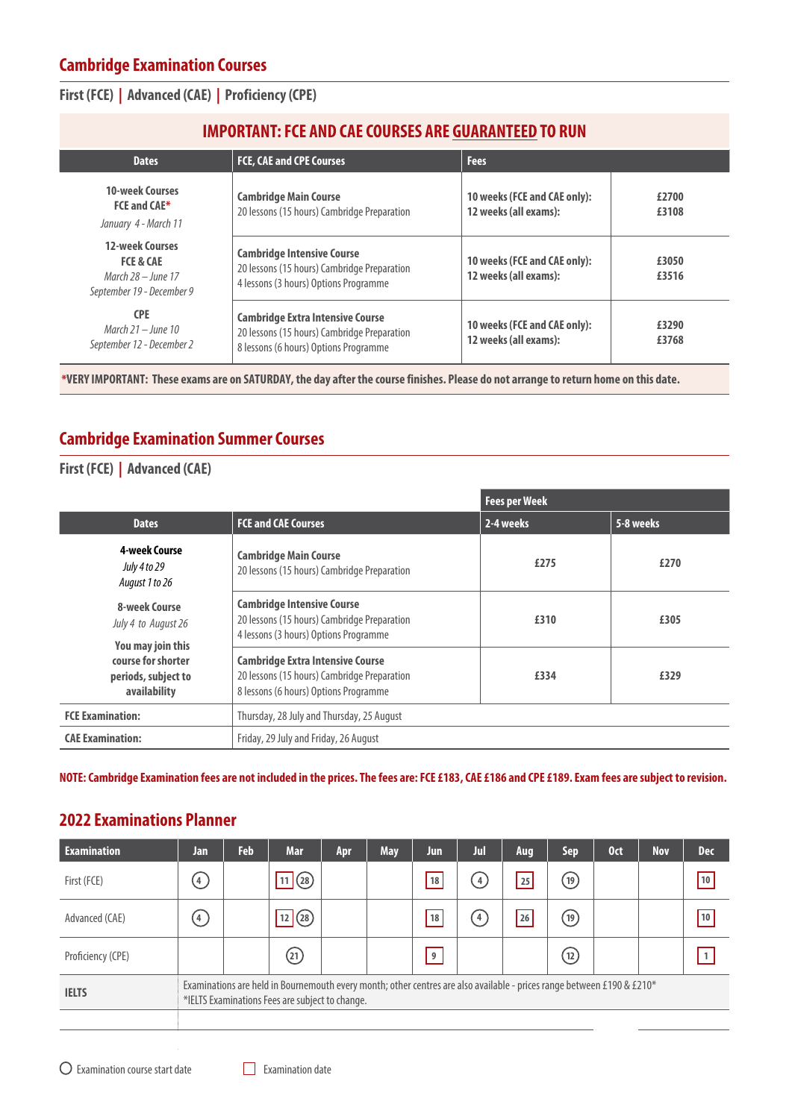#### **First (FCE) | Advanced (CAE) | Proficiency (CPE)**

| <b>Dates</b>                                                                                        | <b>FCE, CAE and CPE Courses</b>                                                                                                 | <b>Fees</b>                                           |                |
|-----------------------------------------------------------------------------------------------------|---------------------------------------------------------------------------------------------------------------------------------|-------------------------------------------------------|----------------|
| <b>10-week Courses</b><br><b>FCE and CAE*</b><br>January 4 - March 11                               | <b>Cambridge Main Course</b><br>20 lessons (15 hours) Cambridge Preparation                                                     | 10 weeks (FCE and CAE only):<br>12 weeks (all exams): | £2700<br>£3108 |
| <b>12-week Courses</b><br><b>FCE &amp; CAE</b><br>March $28 -$ lune 17<br>September 19 - December 9 | <b>Cambridge Intensive Course</b><br>20 lessons (15 hours) Cambridge Preparation<br>4 lessons (3 hours) Options Programme       | 10 weeks (FCE and CAE only):<br>12 weeks (all exams): | £3050<br>£3516 |
| <b>CPE</b><br>March $21 -$ lune 10<br>September 12 - December 2                                     | <b>Cambridge Extra Intensive Course</b><br>20 lessons (15 hours) Cambridge Preparation<br>8 lessons (6 hours) Options Programme | 10 weeks (FCE and CAE only):<br>12 weeks (all exams): | £3290<br>£3768 |

**\*VERY IMPORTANT: These exams are on SATURDAY, the day after the course finishes. Please do not arrange to return home on this date.**

## **Cambridge Examination Summer Courses**

#### **First (FCE) | Advanced (CAE)**

|                                                           |                                                                                                                                 | <b>Fees per Week</b> |           |
|-----------------------------------------------------------|---------------------------------------------------------------------------------------------------------------------------------|----------------------|-----------|
| <b>Dates</b>                                              | <b>FCE and CAE Courses</b>                                                                                                      | 2-4 weeks            | 5-8 weeks |
| 4-week Course<br>July 4 to 29<br>August 1 to 26           | <b>Cambridge Main Course</b><br>20 lessons (15 hours) Cambridge Preparation                                                     | £275                 | £270      |
| 8-week Course<br>July 4 to August 26<br>You may join this | <b>Cambridge Intensive Course</b><br>20 lessons (15 hours) Cambridge Preparation<br>4 lessons (3 hours) Options Programme       | £310                 | £305      |
| course for shorter<br>periods, subject to<br>availability | <b>Cambridge Extra Intensive Course</b><br>20 lessons (15 hours) Cambridge Preparation<br>8 lessons (6 hours) Options Programme | £334                 | £329      |
| <b>FCE Examination:</b>                                   | Thursday, 28 July and Thursday, 25 August                                                                                       |                      |           |
| <b>CAE Examination:</b>                                   | Friday, 29 July and Friday, 26 August                                                                                           |                      |           |

**NOTE: Cambridge Examination fees are not included in the prices. The fees are: FCE £183, CAE £186 and CPE £189. Exam fees are subject to revision.**

#### **2022 Examinations Planner**

| <b>Examination</b> | Jan              | <b>Feb</b> | <b>Mar</b>                                                                                                                                                                | Apr | <b>May</b> | Jun | Jul           | Aug | Sep.               | 0 <sub>ct</sub> | <b>Nov</b> | <b>Dec</b> |
|--------------------|------------------|------------|---------------------------------------------------------------------------------------------------------------------------------------------------------------------------|-----|------------|-----|---------------|-----|--------------------|-----------------|------------|------------|
| First (FCE)        | (4)              |            | 11(28)                                                                                                                                                                    |     |            | 18  | $\frac{4}{3}$ | 25  | $\left( 19\right)$ |                 |            | 10         |
| Advanced (CAE)     | $\left(4\right)$ |            | 12 (28)                                                                                                                                                                   |     |            | 18  | $\frac{4}{3}$ | 26  | (19)               |                 |            | 10         |
| Proficiency (CPE)  |                  |            | $\left( 21\right)$                                                                                                                                                        |     |            | 9   |               |     | (12)               |                 |            | 1          |
| <b>IELTS</b>       |                  |            | Examinations are held in Bournemouth every month; other centres are also available - prices range between £190 & £210*<br>*IELTS Examinations Fees are subject to change. |     |            |     |               |     |                    |                 |            |            |
|                    |                  |            |                                                                                                                                                                           |     |            |     |               |     |                    |                 |            |            |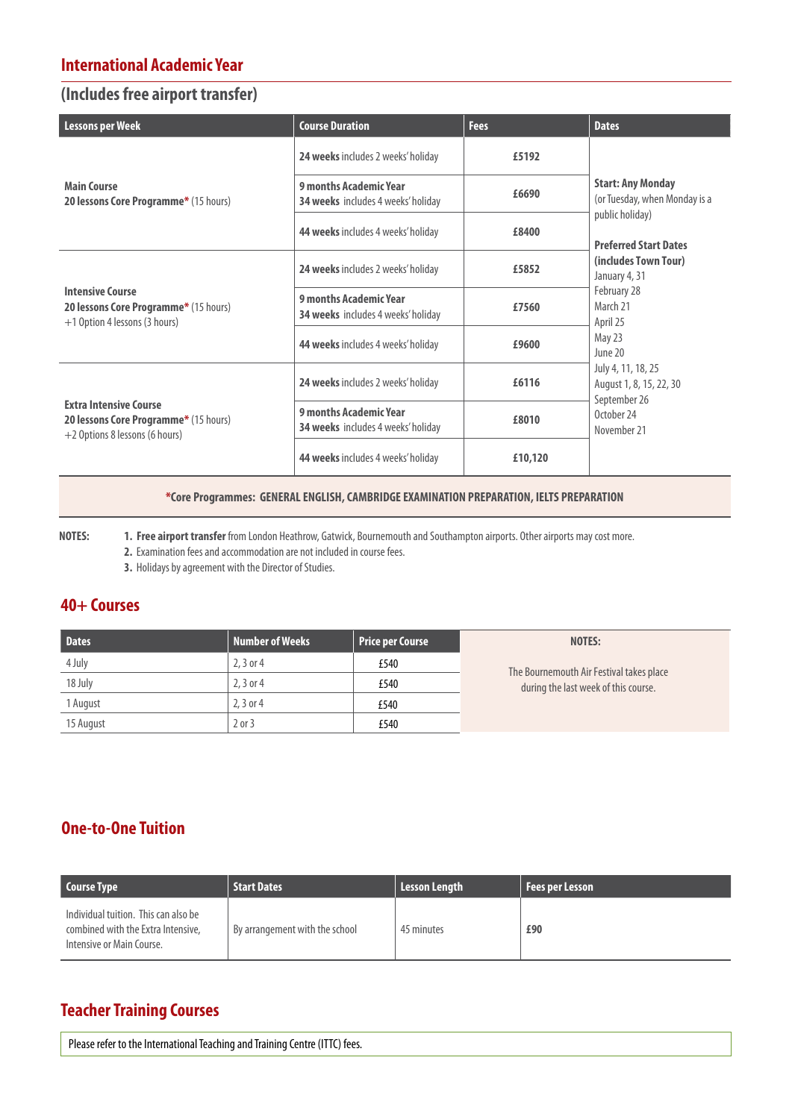#### **International Academic Year**

#### **(Includes free airport transfer)**

| <b>Lessons per Week</b>                                                                                  | <b>Course Duration</b>                                              | <b>Fees</b> | <b>Dates</b>                                                  |
|----------------------------------------------------------------------------------------------------------|---------------------------------------------------------------------|-------------|---------------------------------------------------------------|
|                                                                                                          | <b>24 weeks</b> includes 2 weeks' holiday                           | £5192       |                                                               |
| <b>Main Course</b><br>20 lessons Core Programme* (15 hours)                                              | 9 months Academic Year<br><b>34 weeks</b> includes 4 weeks' holiday | £6690       | <b>Start: Any Monday</b><br>(or Tuesday, when Monday is a     |
|                                                                                                          | <b>44 weeks</b> includes 4 weeks' holiday                           | £8400       | public holiday)<br><b>Preferred Start Dates</b>               |
|                                                                                                          | 24 weeks includes 2 weeks' holiday                                  | £5852       | (includes Town Tour)<br>January 4, 31                         |
| <b>Intensive Course</b><br>20 lessons Core Programme* (15 hours)<br>+1 Option 4 lessons (3 hours)        | 9 months Academic Year<br>34 weeks includes 4 weeks' holiday        | £7560       | February 28<br>March 21<br>April 25                           |
|                                                                                                          | 44 weeks includes 4 weeks' holiday                                  | £9600       | May 23<br>June 20                                             |
|                                                                                                          | 24 weeks includes 2 weeks' holiday                                  | £6116       | July 4, 11, 18, 25<br>August 1, 8, 15, 22, 30<br>September 26 |
| <b>Extra Intensive Course</b><br>20 lessons Core Programme* (15 hours)<br>+2 Options 8 lessons (6 hours) | 9 months Academic Year<br><b>34 weeks</b> includes 4 weeks' holiday | £8010       | October 24<br>November 21                                     |
|                                                                                                          | <b>44 weeks</b> includes 4 weeks' holiday                           | £10,120     |                                                               |

#### **\*Core Programmes: GENERAL ENGLISH, CAMBRIDGE EXAMINATION PREPARATION, IELTS PREPARATION**

**NOTES: 1. Free airport transfer** from London Heathrow, Gatwick, Bournemouth and Southampton airports. Other airports may cost more. **2.** Examination fees and accommodation are not included in course fees.

**3.** Holidays by agreement with the Director of Studies.

## **40+ Courses**

| <b>Dates</b> | <b>Number of Weeks</b> | Price per Course | NOTES:                                   |
|--------------|------------------------|------------------|------------------------------------------|
| 4 July       | $2.3$ or 4             | £540             | The Bournemouth Air Festival takes place |
| 18 July      | $2, 3$ or 4            | £540             | during the last week of this course.     |
| 1 August     | $2.3$ or 4             | £540             |                                          |
| 15 August    | $2$ or $3$             | £540             |                                          |

## **One-to-One Tuition**

| <b>Course Type</b>                                                                                      | <b>Start Dates</b>             | <b>Lesson Length</b> | Fees per Lesson |
|---------------------------------------------------------------------------------------------------------|--------------------------------|----------------------|-----------------|
| Individual tuition. This can also be<br>combined with the Extra Intensive.<br>Intensive or Main Course. | By arrangement with the school | 45 minutes           | £90             |

## **Teacher Training Courses**

Please refer to the International Teaching and Training Centre (ITTC) fees.